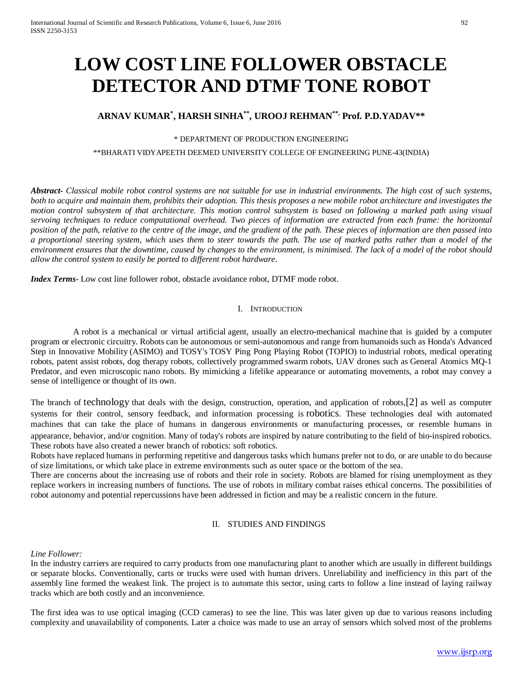# **LOW COST LINE FOLLOWER OBSTACLE DETECTOR AND DTMF TONE ROBOT**

## **ARNAV KUMAR\* , HARSH SINHA\*\*, UROOJ REHMAN\*\*, Prof. P.D.YADAV\*\***

## \* DEPARTMENT OF PRODUCTION ENGINEERING

\*\*BHARATI VIDYAPEETH DEEMED UNIVERSITY COLLEGE OF ENGINEERING PUNE-43(INDIA)

*Abstract***-** *Classical mobile robot control systems are not suitable for use in industrial environments. The high cost of such systems, both to acquire and maintain them, prohibits their adoption. This thesis proposes a new mobile robot architecture and investigates the motion control subsystem of that architecture. This motion control subsystem is based on following a marked path using visual servoing techniques to reduce computational overhead. Two pieces of information are extracted from each frame: the horizontal position of the path, relative to the centre of the image, and the gradient of the path. These pieces of information are then passed into a proportional steering system, which uses them to steer towards the path. The use of marked paths rather than a model of the environment ensures that the downtime, caused by changes to the environment, is minimised. The lack of a model of the robot should allow the control system to easily be ported to different robot hardware.*

*Index Terms*- Low cost line follower robot, obstacle avoidance robot, DTMF mode robot.

## I. INTRODUCTION

 A robot is a mechanical or virtual artificial [agent,](https://en.wiktionary.org/wiki/agent) usually an [electro-mechanical machine](https://en.wikipedia.org/wiki/Electromechanics) that is guided by a [computer](https://en.wikipedia.org/wiki/Computer_program)  [program](https://en.wikipedia.org/wiki/Computer_program) or [electronic circuitry.](https://en.wikipedia.org/wiki/Electronic_circuit) Robots can be [autonomous](https://en.wikipedia.org/wiki/Autonomous_robot) or semi-autonomous and range from humanoids such as [Honda's](https://en.wikipedia.org/wiki/Honda) Advanced Step in Innovative Mobility [\(ASIMO\)](https://en.wikipedia.org/wiki/ASIMO) and [TOSY'](https://en.wikipedia.org/wiki/TOSY)s TOSY Ping Pong Playing Robot [\(TOPIO\)](https://en.wikipedia.org/wiki/TOPIO) to [industrial robots,](https://en.wikipedia.org/wiki/Industrial_robot) medical operating robots, patent assist robots, dog therapy robots, collectively programmed swarm [robots,](https://en.wikipedia.org/wiki/Swarm_robotics) UAV drones such as [General Atomics MQ-1](https://en.wikipedia.org/wiki/General_Atomics_MQ-1_Predator)  [Predator,](https://en.wikipedia.org/wiki/General_Atomics_MQ-1_Predator) and even microscopic [nano robots.](https://en.wikipedia.org/wiki/Nanorobotics) By mimicking a lifelike appearance or automating movements, a robot may convey a sense of intelligence or [thought](https://en.wikipedia.org/wiki/Agency_(philosophy)) of its own.

The branch of [technology](https://en.wikipedia.org/wiki/Technology) that deals with the design, construction, operation, and application of robots[,\[2\]](https://en.wikipedia.org/wiki/Robot#cite_note-OED-2) as well as computer systems for their control, sensory feedback, and information processing is [robotics.](https://en.wikipedia.org/wiki/Robotics) These technologies deal with automated machines that can take the place of humans in dangerous environments or manufacturing processes, or resemble humans in appearance, behavior, and/or cognition. Many of today's robots are inspired by nature contributing to the field of [bio-inspired robotics.](https://en.wikipedia.org/wiki/Bio-inspired_robotics)  These robots have also created a newer branch of robotics: [soft robotics.](https://en.wikipedia.org/w/index.php?title=Soft_robotics&action=edit&redlink=1)

Robots have replaced humans in performing repetitive and dangerous tasks which humans prefer not to do, or are unable to do because of size limitations, or which take place in extreme environments such as outer space or the bottom of the sea.

There are concerns about the increasing use of robots and their role in society. Robots are blamed for rising unemployment as they replace workers in increasing numbers of functions. The use of robots in military combat raises ethical concerns. The possibilities of robot autonomy and potential repercussions have been addressed in fiction and may be a realistic concern in the future.

## II. STUDIES AND FINDINGS

## *Line Follower:*

In the industry carriers are required to carry products from one manufacturing plant to another which are usually in different buildings or separate blocks. Conventionally, carts or trucks were used with human drivers. Unreliability and inefficiency in this part of the assembly line formed the weakest link. The project is to automate this sector, using carts to follow a line instead of laying railway tracks which are both costly and an inconvenience.

The first idea was to use optical imaging (CCD cameras) to see the line. This was later given up due to various reasons including complexity and unavailability of components. Later a choice was made to use an array of sensors which solved most of the problems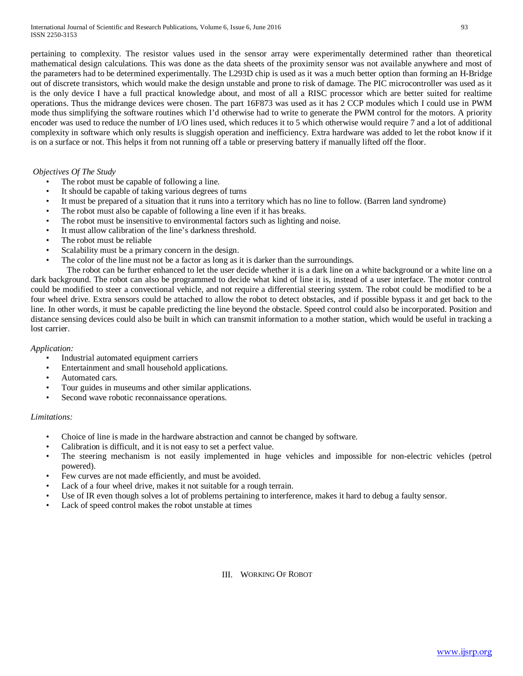pertaining to complexity. The resistor values used in the sensor array were experimentally determined rather than theoretical mathematical design calculations. This was done as the data sheets of the proximity sensor was not available anywhere and most of the parameters had to be determined experimentally. The L293D chip is used as it was a much better option than forming an H-Bridge out of discrete transistors, which would make the design unstable and prone to risk of damage. The PIC microcontroller was used as it is the only device I have a full practical knowledge about, and most of all a RISC processor which are better suited for realtime operations. Thus the midrange devices were chosen. The part 16F873 was used as it has 2 CCP modules which I could use in PWM mode thus simplifying the software routines which I'd otherwise had to write to generate the PWM control for the motors. A priority encoder was used to reduce the number of I/O lines used, which reduces it to 5 which otherwise would require 7 and a lot of additional complexity in software which only results is sluggish operation and inefficiency. Extra hardware was added to let the robot know if it is on a surface or not. This helps it from not running off a table or preserving battery if manually lifted off the floor.

## *Objectives Of The Study*

- The robot must be capable of following a line.
- It should be capable of taking various degrees of turns
- It must be prepared of a situation that it runs into a territory which has no line to follow. (Barren land syndrome)
- The robot must also be capable of following a line even if it has breaks.
- The robot must be insensitive to environmental factors such as lighting and noise.
- It must allow calibration of the line's darkness threshold.
- The robot must be reliable
- Scalability must be a primary concern in the design.
- The color of the line must not be a factor as long as it is darker than the surroundings.

 The robot can be further enhanced to let the user decide whether it is a dark line on a white background or a white line on a dark background. The robot can also be programmed to decide what kind of line it is, instead of a user interface. The motor control could be modified to steer a convectional vehicle, and not require a differential steering system. The robot could be modified to be a four wheel drive. Extra sensors could be attached to allow the robot to detect obstacles, and if possible bypass it and get back to the line. In other words, it must be capable predicting the line beyond the obstacle. Speed control could also be incorporated. Position and distance sensing devices could also be built in which can transmit information to a mother station, which would be useful in tracking a lost carrier.

### *Application:*

- Industrial automated equipment carriers
- Entertainment and small household applications.
- Automated cars.
- Tour guides in museums and other similar applications.
- Second wave robotic reconnaissance operations.

### *Limitations:*

- Choice of line is made in the hardware abstraction and cannot be changed by software.
- Calibration is difficult, and it is not easy to set a perfect value.
- The steering mechanism is not easily implemented in huge vehicles and impossible for non-electric vehicles (petrol powered).
- Few curves are not made efficiently, and must be avoided.
- Lack of a four wheel drive, makes it not suitable for a rough terrain.
- Use of IR even though solves a lot of problems pertaining to interference, makes it hard to debug a faulty sensor.
- Lack of speed control makes the robot unstable at times

### III. WORKING OF ROBOT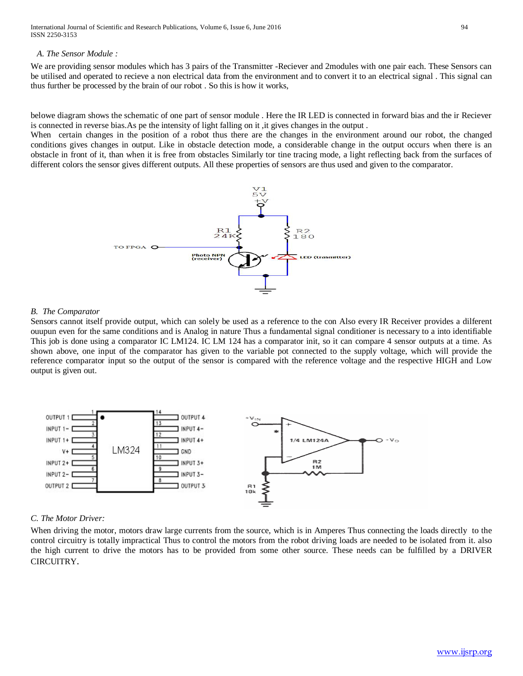## *A. The Sensor Module :*

We are providing sensor modules which has 3 pairs of the Transmitter -Reciever and 2modules with one pair each. These Sensors can be utilised and operated to recieve a non electrical data from the environment and to convert it to an electrical signal . This signal can thus further be processed by the brain of our robot . So this is how it works,

belowe diagram shows the schematic of one part of sensor module . Here the IR LED is connected in forward bias and the ir Reciever is connected in reverse bias.As pe the intensity of light falling on it ,it gives changes in the output .

When certain changes in the position of a robot thus there are the changes in the environment around our robot, the changed conditions gives changes in output. Like in obstacle detection mode, a considerable change in the output occurs when there is an obstacle in front of it, than when it is free from obstacles Similarly tor tine tracing mode, a light reflecting back from the surfaces of different colors the sensor gives different outputs. All these properties of sensors are thus used and given to the comparator.



## *B. The Comparator*

Sensors cannot itself provide output, which can solely be used as a reference to the con Also every IR Receiver provides a dilferent ouupun even for the same conditions and is Analog in nature Thus a fundamental signal conditioner is necessary to a into identifiable This job is done using a comparator IC LM124. IC LM 124 has a comparator init, so it can compare 4 sensor outputs at a time. As shown above, one input of the comparator has given to the variable pot connected to the supply voltage, which will provide the reference comparator input so the output of the sensor is compared with the reference voltage and the respective HIGH and Low output is given out.



## *C. The Motor Driver:*

When driving the motor, motors draw large currents from the source, which is in Amperes Thus connecting the loads directly to the control circuitry is totally impractical Thus to control the motors from the robot driving loads are needed to be isolated from it. also the high current to drive the motors has to be provided from some other source. These needs can be fulfilled by a DRIVER CIRCUITRY.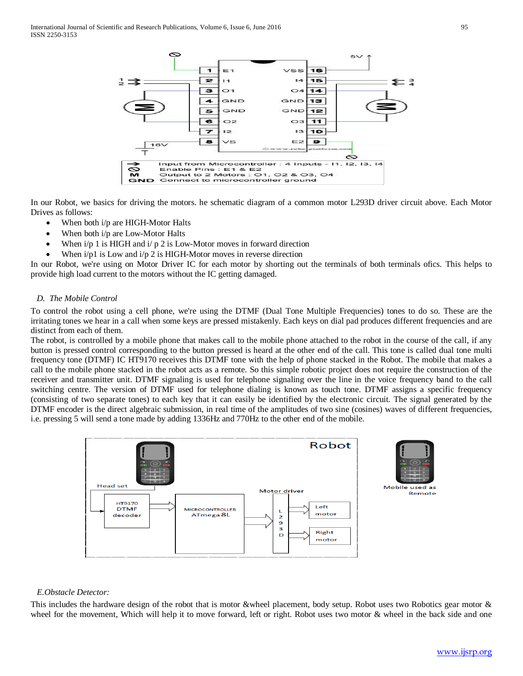

In our Robot, we basics for driving the motors. he schematic diagram of a common motor L293D driver circuit above. Each Motor Drives as follows:

- When both i/p are HIGH-Motor Halts
- When both i/p are Low-Motor Halts
- When  $i/p$  1 is HIGH and  $i/p$  2 is Low-Motor moves in forward direction
- When  $i/p1$  is Low and  $i/p 2$  is HIGH-Motor moves in reverse direction

In our Robot, we're using on Motor Driver IC for each motor by shorting out the terminals of both terminals ofics. This helps to provide high load current to the motors without the IC getting damaged.

## *D. The Mobile Control*

To control the robot using a cell phone, we're using the DTMF (Dual Tone Multiple Frequencies) tones to do so. These are the irritating tones we hear in a call when some keys are pressed mistakenly. Each keys on dial pad produces different frequencies and are distinct from each of them.

The robot, is controlled by a mobile phone that makes call to the mobile phone attached to the robot in the course of the call, if any button is pressed control corresponding to the button pressed is heard at the other end of the call. This tone is called dual tone multi frequency tone (DTMF) IC HT9170 receives this DTMF tone with the help of phone stacked in the Robot. The mobile that makes a call to the mobile phone stacked in the robot acts as a remote. So this simple robotic project does not require the construction of the receiver and transmitter unit. DTMF signaling is used for telephone signaling over the line in the voice frequency band to the call switching centre. The version of DTMF used for telephone dialing is known as touch tone. DTMF assigns a specific frequency (consisting of two separate tones) to each key that it can easily be identified by the electronic circuit. The signal generated by the DTMF encoder is the direct algebraic submission, in real time of the amplitudes of two sine (cosines) waves of different frequencies, i.e. pressing 5 will send a tone made by adding 1336Hz and 770Hz to the other end of the mobile.





### *E.Obstacle Detector:*

This includes the hardware design of the robot that is motor &wheel placement, body setup. Robot uses two Robotics gear motor & wheel for the movement, Which will help it to move forward, left or right. Robot uses two motor & wheel in the back side and one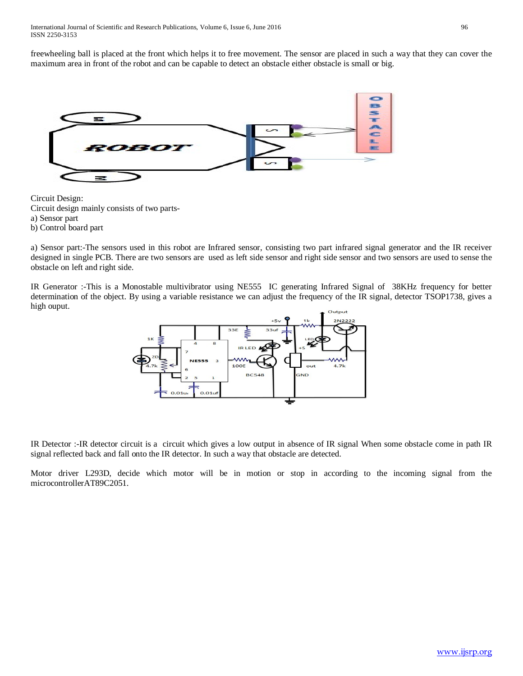freewheeling ball is placed at the front which helps it to free movement. The sensor are placed in such a way that they can cover the maximum area in front of the robot and can be capable to detect an obstacle either obstacle is small or big.



Circuit Design: Circuit design mainly consists of two partsa) Sensor part b) Control board part

a) Sensor part:-The sensors used in this robot are Infrared sensor, consisting two part infrared signal generator and the IR receiver designed in single PCB. There are two sensors are used as left side sensor and right side sensor and two sensors are used to sense the obstacle on left and right side.

IR Generator :-This is a Monostable multivibrator using NE555 IC generating Infrared Signal of 38KHz frequency for better determination of the object. By using a variable resistance we can adjust the frequency of the IR signal, detector TSOP1738, gives a high ouput.



IR Detector :-IR detector circuit is a circuit which gives a low output in absence of IR signal When some obstacle come in path IR signal reflected back and fall onto the IR detector. In such a way that obstacle are detected.

Motor driver L293D, decide which motor will be in motion or stop in according to the incoming signal from the microcontrollerAT89C2051.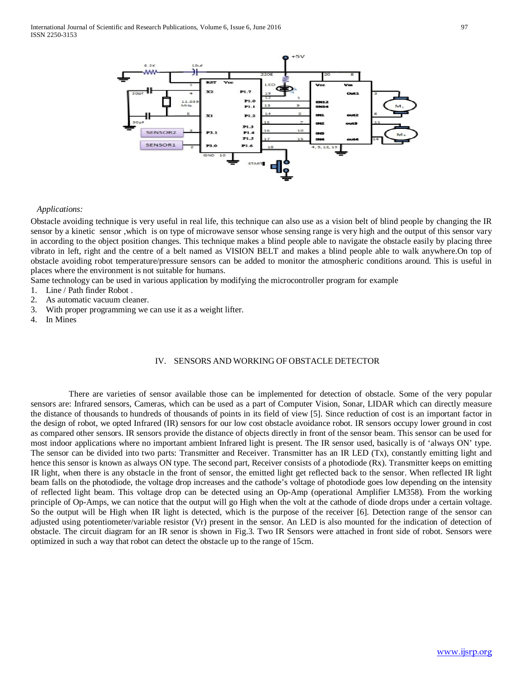

#### *Applications:*

Obstacle avoiding technique is very useful in real life, this technique can also use as a vision belt of blind people by changing the IR sensor by a kinetic sensor ,which is on type of microwave sensor whose sensing range is very high and the output of this sensor vary in according to the object position changes. This technique makes a blind people able to navigate the obstacle easily by placing three vibrato in left, right and the centre of a belt named as VISION BELT and makes a blind people able to walk anywhere.On top of obstacle avoiding robot temperature/pressure sensors can be added to monitor the atmospheric conditions around. This is useful in places where the environment is not suitable for humans.

Same technology can be used in various application by modifying the microcontroller program for example

- 1. Line / Path finder Robot .
- 2. As automatic vacuum cleaner.
- 3. With proper programming we can use it as a weight lifter.
- 4. In Mines

## IV. SENSORS AND WORKING OF OBSTACLE DETECTOR

 There are varieties of sensor available those can be implemented for detection of obstacle. Some of the very popular sensors are: Infrared sensors, Cameras, which can be used as a part of Computer Vision, Sonar, LIDAR which can directly measure the distance of thousands to hundreds of thousands of points in its field of view [5]. Since reduction of cost is an important factor in the design of robot, we opted Infrared (IR) sensors for our low cost obstacle avoidance robot. IR sensors occupy lower ground in cost as compared other sensors. IR sensors provide the distance of objects directly in front of the sensor beam. This sensor can be used for most indoor applications where no important ambient Infrared light is present. The IR sensor used, basically is of 'always ON' type. The sensor can be divided into two parts: Transmitter and Receiver. Transmitter has an IR LED (Tx), constantly emitting light and hence this sensor is known as always ON type. The second part, Receiver consists of a photodiode (Rx). Transmitter keeps on emitting IR light, when there is any obstacle in the front of sensor, the emitted light get reflected back to the sensor. When reflected IR light beam falls on the photodiode, the voltage drop increases and the cathode's voltage of photodiode goes low depending on the intensity of reflected light beam. This voltage drop can be detected using an Op-Amp (operational Amplifier LM358). From the working principle of Op-Amps, we can notice that the output will go High when the volt at the cathode of diode drops under a certain voltage. So the output will be High when IR light is detected, which is the purpose of the receiver [6]. Detection range of the sensor can adjusted using potentiometer/variable resistor (Vr) present in the sensor. An LED is also mounted for the indication of detection of obstacle. The circuit diagram for an IR senor is shown in Fig.3. Two IR Sensors were attached in front side of robot. Sensors were optimized in such a way that robot can detect the obstacle up to the range of 15cm.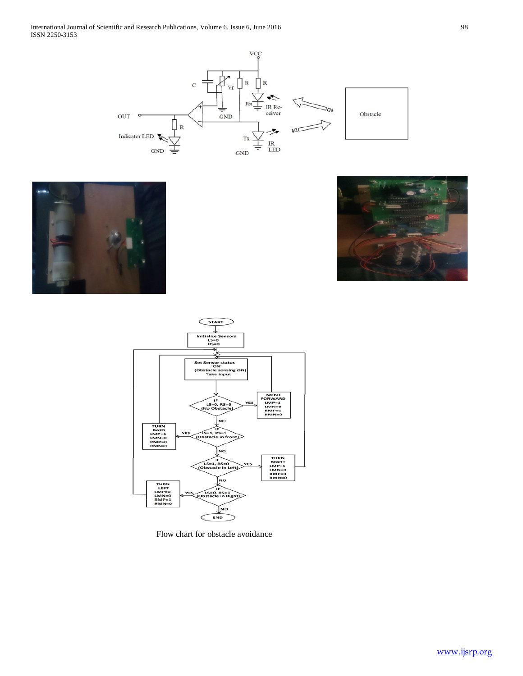







Flow chart for obstacle avoidance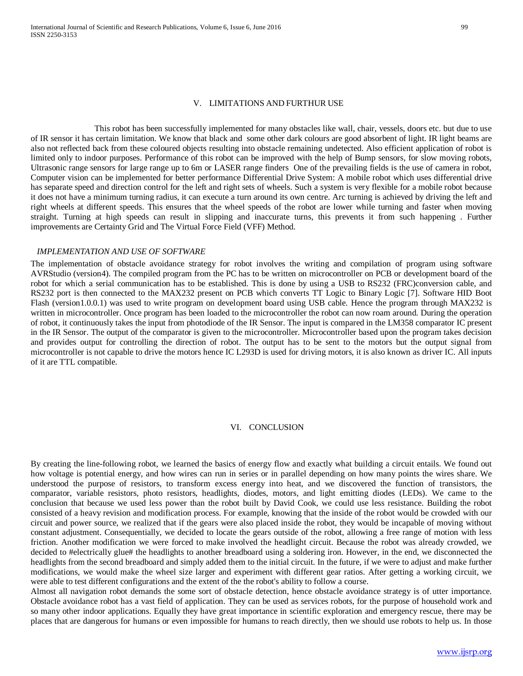#### V. LIMITATIONS AND FURTHUR USE

 This robot has been successfully implemented for many obstacles like wall, chair, vessels, doors etc. but due to use of IR sensor it has certain limitation. We know that black and some other dark colours are good absorbent of light. IR light beams are also not reflected back from these coloured objects resulting into obstacle remaining undetected. Also efficient application of robot is limited only to indoor purposes. Performance of this robot can be improved with the help of Bump sensors, for slow moving robots, Ultrasonic range sensors for large range up to 6m or LASER range finders One of the prevailing fields is the use of camera in robot, Computer vision can be implemented for better performance Differential Drive System: A mobile robot which uses differential drive has separate speed and direction control for the left and right sets of wheels. Such a system is very flexible for a mobile robot because it does not have a minimum turning radius, it can execute a turn around its own centre. Arc turning is achieved by driving the left and right wheels at different speeds. This ensures that the wheel speeds of the robot are lower while turning and faster when moving straight. Turning at high speeds can result in slipping and inaccurate turns, this prevents it from such happening . Further improvements are Certainty Grid and The Virtual Force Field (VFF) Method.

#### *IMPLEMENTATION AND USE OF SOFTWARE*

The implementation of obstacle avoidance strategy for robot involves the writing and compilation of program using software AVRStudio (version4). The compiled program from the PC has to be written on microcontroller on PCB or development board of the robot for which a serial communication has to be established. This is done by using a USB to RS232 (FRC)conversion cable, and RS232 port is then connected to the MAX232 present on PCB which converts TT Logic to Binary Logic [7]. Software HID Boot Flash (version1.0.0.1) was used to write program on development board using USB cable. Hence the program through MAX232 is written in microcontroller. Once program has been loaded to the microcontroller the robot can now roam around. During the operation of robot, it continuously takes the input from photodiode of the IR Sensor. The input is compared in the LM358 comparator IC present in the IR Sensor. The output of the comparator is given to the microcontroller. Microcontroller based upon the program takes decision and provides output for controlling the direction of robot. The output has to be sent to the motors but the output signal from microcontroller is not capable to drive the motors hence IC L293D is used for driving motors, it is also known as driver IC. All inputs of it are TTL compatible.

### VI. CONCLUSION

By creating the line-following robot, we learned the basics of energy flow and exactly what building a circuit entails. We found out how voltage is potential energy, and how wires can run in series or in parallel depending on how many points the wires share. We understood the purpose of resistors, to transform excess energy into heat, and we discovered the function of transistors, the comparator, variable resistors, photo resistors, headlights, diodes, motors, and light emitting diodes (LEDs). We came to the conclusion that because we used less power than the robot built by David Cook, we could use less resistance. Building the robot consisted of a heavy revision and modification process. For example, knowing that the inside of the robot would be crowded with our circuit and power source, we realized that if the gears were also placed inside the robot, they would be incapable of moving without constant adjustment. Consequentially, we decided to locate the gears outside of the robot, allowing a free range of motion with less friction. Another modification we were forced to make involved the headlight circuit. Because the robot was already crowded, we decided to #electrically glue# the headlights to another breadboard using a soldering iron. However, in the end, we disconnected the headlights from the second breadboard and simply added them to the initial circuit. In the future, if we were to adjust and make further modifications, we would make the wheel size larger and experiment with different gear ratios. After getting a working circuit, we were able to test different configurations and the extent of the the robot's ability to follow a course.

Almost all navigation robot demands the some sort of obstacle detection, hence obstacle avoidance strategy is of utter importance. Obstacle avoidance robot has a vast field of application. They can be used as services robots, for the purpose of household work and so many other indoor applications. Equally they have great importance in scientific exploration and emergency rescue, there may be places that are dangerous for humans or even impossible for humans to reach directly, then we should use robots to help us. In those